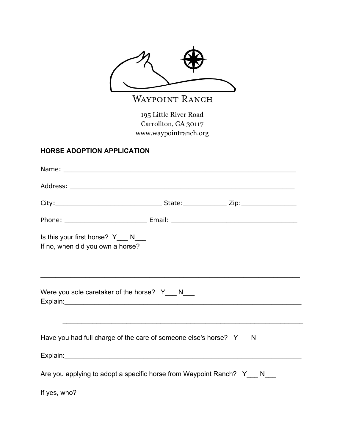

WAYPOINT RANCH

195 Little River Road Carrollton, GA 30117 www.waypointranch.org

## **HORSE ADOPTION APPLICATION**

| Is this your first horse? Y___ N___<br>If no, when did you own a horse?   | ,我们也不会有什么。""我们的人,我们也不会有什么?""我们的人,我们也不会有什么?""我们的人,我们也不会有什么?""我们的人,我们也不会有什么?""我们的人 |
|---------------------------------------------------------------------------|----------------------------------------------------------------------------------|
| Were you sole caretaker of the horse? $Y_N$ N___                          | ,我们也不会有什么。""我们的人,我们也不会有什么?""我们的人,我们也不会有什么?""我们的人,我们也不会有什么?""我们的人,我们也不会有什么?""我们的人 |
| Have you had full charge of the care of someone else's horse? Y___ N___   |                                                                                  |
| Are you applying to adopt a specific horse from Waypoint Ranch? Y___ N___ |                                                                                  |
| If yes, who?                                                              |                                                                                  |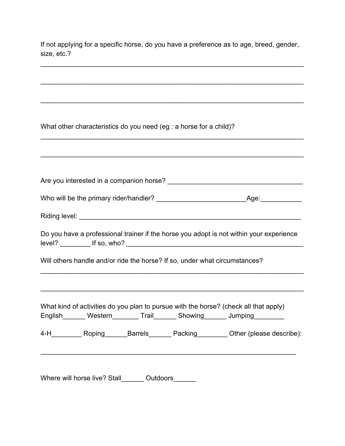If not applying for a specific horse, do you have a preference as to age, breed, gender, size, etc.?

\_\_\_\_\_\_\_\_\_\_\_\_\_\_\_\_\_\_\_\_\_\_\_\_\_\_\_\_\_\_\_\_\_\_\_\_\_\_\_\_\_\_\_\_\_\_\_\_\_\_\_\_\_\_\_\_\_\_\_\_\_\_\_\_\_\_\_\_\_\_

\_\_\_\_\_\_\_\_\_\_\_\_\_\_\_\_\_\_\_\_\_\_\_\_\_\_\_\_\_\_\_\_\_\_\_\_\_\_\_\_\_\_\_\_\_\_\_\_\_\_\_\_\_\_\_\_\_\_\_\_\_\_\_\_\_\_\_\_\_\_

\_\_\_\_\_\_\_\_\_\_\_\_\_\_\_\_\_\_\_\_\_\_\_\_\_\_\_\_\_\_\_\_\_\_\_\_\_\_\_\_\_\_\_\_\_\_\_\_\_\_\_\_\_\_\_\_\_\_\_\_\_\_\_\_\_\_\_\_\_\_

What other characteristics do you need (eg : a horse for a child)? \_\_\_\_\_\_\_\_\_\_\_\_\_\_\_\_\_\_\_\_\_\_\_\_\_\_\_\_\_\_\_\_\_\_\_\_\_\_\_\_\_\_\_\_\_\_\_\_\_\_\_\_\_\_\_\_\_\_\_\_\_\_\_\_\_\_\_\_\_\_ \_\_\_\_\_\_\_\_\_\_\_\_\_\_\_\_\_\_\_\_\_\_\_\_\_\_\_\_\_\_\_\_\_\_\_\_\_\_\_\_\_\_\_\_\_\_\_\_\_\_\_\_\_\_\_\_\_\_\_\_\_\_\_\_\_\_\_\_\_\_ Are you interested in a companion horse? \_\_\_\_\_\_\_\_\_\_\_\_\_\_\_\_\_\_\_\_\_\_\_\_\_\_\_\_\_\_\_\_\_\_\_\_ Who will be the primary rider/handler? \_\_\_\_\_\_\_\_\_\_\_\_\_\_\_\_\_\_\_\_\_\_\_\_Age:\_\_\_\_\_\_\_\_\_\_\_ Riding level: \_\_\_\_\_\_\_\_\_\_\_\_\_\_\_\_\_\_\_\_\_\_\_\_\_\_\_\_\_\_\_\_\_\_\_\_\_\_\_\_\_\_\_\_\_\_\_\_\_\_\_\_\_\_\_\_\_\_\_ Do you have a professional trainer if the horse you adopt is not within your experience level? \_\_\_\_\_\_\_\_ If so, who? \_\_\_\_\_\_\_\_\_\_\_\_\_\_\_\_\_\_\_\_\_\_\_\_\_\_\_\_\_\_\_\_\_\_\_\_\_\_\_\_\_\_\_\_\_\_\_ Will others handle and/or ride the horse? If so, under what circumstances? \_\_\_\_\_\_\_\_\_\_\_\_\_\_\_\_\_\_\_\_\_\_\_\_\_\_\_\_\_\_\_\_\_\_\_\_\_\_\_\_\_\_\_\_\_\_\_\_\_\_\_\_\_\_\_\_\_\_\_\_\_\_\_\_\_\_\_\_\_\_ \_\_\_\_\_\_\_\_\_\_\_\_\_\_\_\_\_\_\_\_\_\_\_\_\_\_\_\_\_\_\_\_\_\_\_\_\_\_\_\_\_\_\_\_\_\_\_\_\_\_\_\_\_\_\_\_\_\_\_\_\_\_\_\_\_\_\_\_\_\_ What kind of activities do you plan to pursue with the horse? (check all that apply) English\_\_\_\_\_\_\_ Western\_\_\_\_\_\_\_\_ Trail\_\_\_\_\_\_\_ Showing\_\_\_\_\_\_\_\_ Jumping\_\_\_\_\_\_\_\_\_ 4-H Roping Barrels Packing Other (please describe): \_\_\_\_\_\_\_\_\_\_\_\_\_\_\_\_\_\_\_\_\_\_\_\_\_\_\_\_\_\_\_\_\_\_\_\_\_\_\_\_\_\_\_\_\_\_\_\_\_\_\_\_\_\_\_\_\_\_\_\_\_\_\_\_\_\_\_\_

Where will horse live? Stall Cutdoors